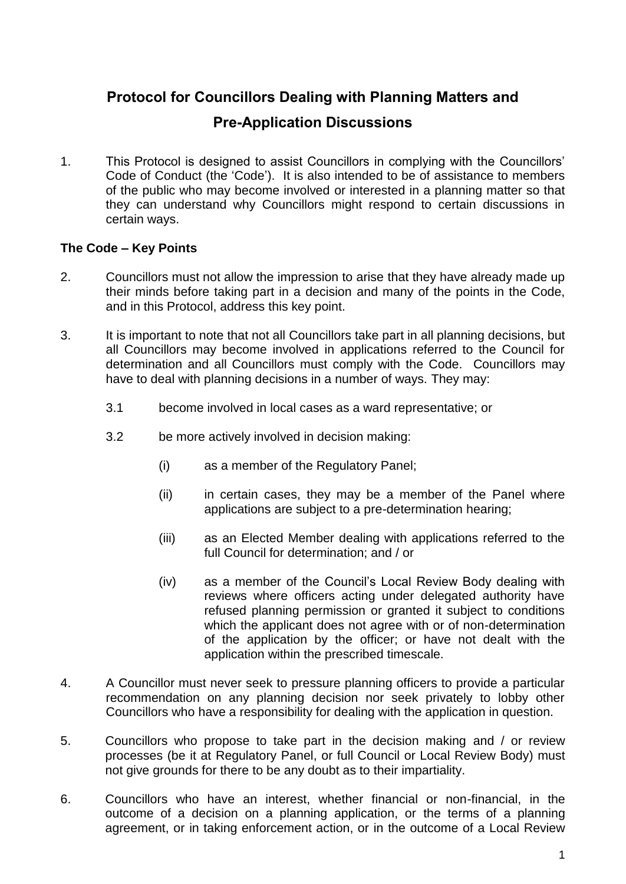# **Protocol for Councillors Dealing with Planning Matters and**

## **Pre-Application Discussions**

1. This Protocol is designed to assist Councillors in complying with the Councillors' Code of Conduct (the 'Code'). It is also intended to be of assistance to members of the public who may become involved or interested in a planning matter so that they can understand why Councillors might respond to certain discussions in certain ways.

#### **The Code – Key Points**

- 2. Councillors must not allow the impression to arise that they have already made up their minds before taking part in a decision and many of the points in the Code, and in this Protocol, address this key point.
- 3. It is important to note that not all Councillors take part in all planning decisions, but all Councillors may become involved in applications referred to the Council for determination and all Councillors must comply with the Code. Councillors may have to deal with planning decisions in a number of ways. They may:
	- 3.1 become involved in local cases as a ward representative; or
	- 3.2 be more actively involved in decision making:
		- (i) as a member of the Regulatory Panel;
		- (ii) in certain cases, they may be a member of the Panel where applications are subject to a pre-determination hearing;
		- (iii) as an Elected Member dealing with applications referred to the full Council for determination; and / or
		- (iv) as a member of the Council's Local Review Body dealing with reviews where officers acting under delegated authority have refused planning permission or granted it subject to conditions which the applicant does not agree with or of non-determination of the application by the officer; or have not dealt with the application within the prescribed timescale.
- 4. A Councillor must never seek to pressure planning officers to provide a particular recommendation on any planning decision nor seek privately to lobby other Councillors who have a responsibility for dealing with the application in question.
- 5. Councillors who propose to take part in the decision making and / or review processes (be it at Regulatory Panel, or full Council or Local Review Body) must not give grounds for there to be any doubt as to their impartiality.
- 6. Councillors who have an interest, whether financial or non-financial, in the outcome of a decision on a planning application, or the terms of a planning agreement, or in taking enforcement action, or in the outcome of a Local Review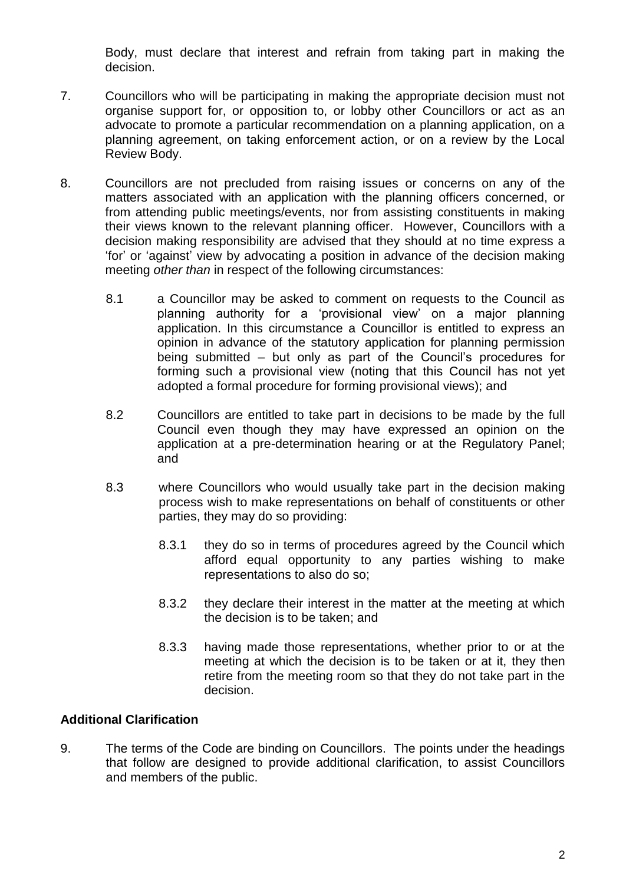Body, must declare that interest and refrain from taking part in making the decision.

- 7. Councillors who will be participating in making the appropriate decision must not organise support for, or opposition to, or lobby other Councillors or act as an advocate to promote a particular recommendation on a planning application, on a planning agreement, on taking enforcement action, or on a review by the Local Review Body.
- 8. Councillors are not precluded from raising issues or concerns on any of the matters associated with an application with the planning officers concerned, or from attending public meetings/events, nor from assisting constituents in making their views known to the relevant planning officer. However, Councillors with a decision making responsibility are advised that they should at no time express a 'for' or 'against' view by advocating a position in advance of the decision making meeting *other than* in respect of the following circumstances:
	- 8.1 a Councillor may be asked to comment on requests to the Council as planning authority for a 'provisional view' on a major planning application. In this circumstance a Councillor is entitled to express an opinion in advance of the statutory application for planning permission being submitted – but only as part of the Council's procedures for forming such a provisional view (noting that this Council has not yet adopted a formal procedure for forming provisional views); and
	- 8.2 Councillors are entitled to take part in decisions to be made by the full Council even though they may have expressed an opinion on the application at a pre-determination hearing or at the Regulatory Panel; and
	- 8.3 where Councillors who would usually take part in the decision making process wish to make representations on behalf of constituents or other parties, they may do so providing:
		- 8.3.1 they do so in terms of procedures agreed by the Council which afford equal opportunity to any parties wishing to make representations to also do so;
		- 8.3.2 they declare their interest in the matter at the meeting at which the decision is to be taken; and
		- 8.3.3 having made those representations, whether prior to or at the meeting at which the decision is to be taken or at it, they then retire from the meeting room so that they do not take part in the decision.

### **Additional Clarification**

9. The terms of the Code are binding on Councillors. The points under the headings that follow are designed to provide additional clarification, to assist Councillors and members of the public.